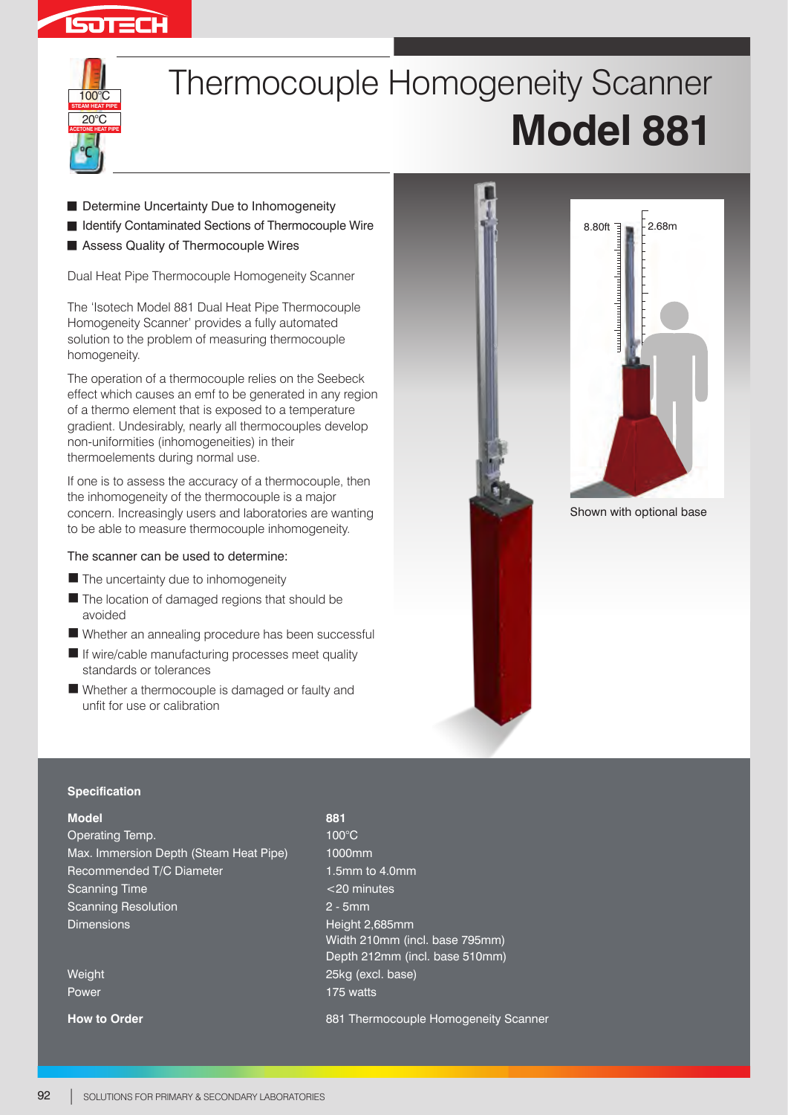



# Thermocouple Homogeneity Scanner **Model 881**

- **B** Determine Uncertainty Due to Inhomogeneity
- **B** Identify Contaminated Sections of Thermocouple Wire
- Assess Quality of Thermocouple Wires

Dual Heat Pipe Thermocouple Homogeneity Scanner

The 'Isotech Model 881 Dual Heat Pipe Thermocouple Homogeneity Scanner' provides a fully automated solution to the problem of measuring thermocouple homogeneity.

The operation of a thermocouple relies on the Seebeck effect which causes an emf to be generated in any region of a thermo element that is exposed to a temperature gradient. Undesirably, nearly all thermocouples develop non-uniformities (inhomogeneities) in their thermoelements during normal use.

If one is to assess the accuracy of a thermocouple, then the inhomogeneity of the thermocouple is a major concern. Increasingly users and laboratories are wanting to be able to measure thermocouple inhomogeneity.

### The scanner can be used to determine:

- The uncertainty due to inhomogeneity
- The location of damaged regions that should be avoided
- Whether an annealing procedure has been successful
- If wire/cable manufacturing processes meet quality standards or tolerances
- Whether a thermocouple is damaged or faulty and unfit for use or calibration



#### **Specification**

#### **Model**

Operating Temp. Max. Immersion Depth (Steam Heat Pipe) Recommended T/C Diameter Scanning Time Scanning Resolution Dimensions

Weight Power

**How to Order**

**881** 100°C 1000mm 1.5mm to 4.0mm <20 minutes 2 - 5mm Height 2,685mm Width 210mm (incl. base 795mm) Depth 212mm (incl. base 510mm) 25kg (excl. base) 175 watts 881 Thermocouple Homogeneity Scanner